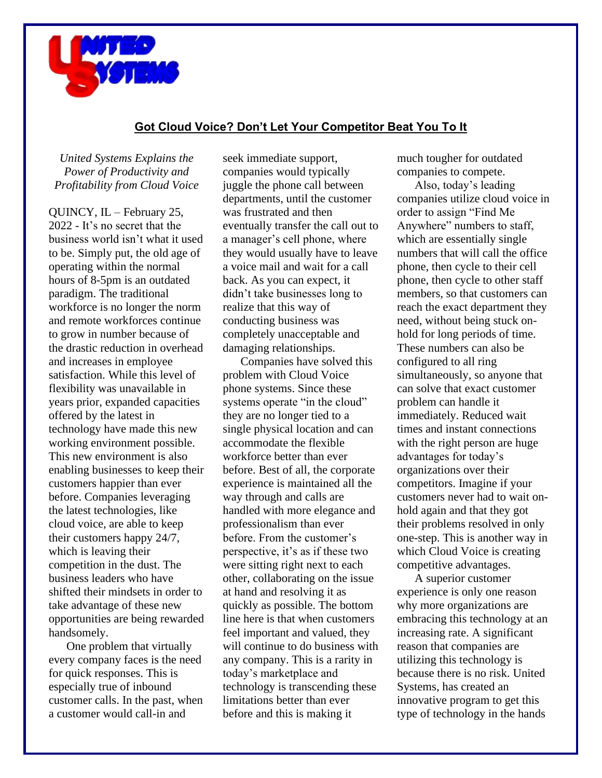

## **Got Cloud Voice? Don't Let Your Competitor Beat You To It**

*United Systems Explains the Power of Productivity and Profitability from Cloud Voice*

QUINCY, IL – February 25, 2022 - It's no secret that the business world isn't what it used to be. Simply put, the old age of operating within the normal hours of 8-5pm is an outdated paradigm. The traditional workforce is no longer the norm and remote workforces continue to grow in number because of the drastic reduction in overhead and increases in employee satisfaction. While this level of flexibility was unavailable in years prior, expanded capacities offered by the latest in technology have made this new working environment possible. This new environment is also enabling businesses to keep their customers happier than ever before. Companies leveraging the latest technologies, like cloud voice, are able to keep their customers happy 24/7, which is leaving their competition in the dust. The business leaders who have shifted their mindsets in order to take advantage of these new opportunities are being rewarded handsomely.

One problem that virtually every company faces is the need for quick responses. This is especially true of inbound customer calls. In the past, when a customer would call-in and

seek immediate support, companies would typically juggle the phone call between departments, until the customer was frustrated and then eventually transfer the call out to a manager's cell phone, where they would usually have to leave a voice mail and wait for a call back. As you can expect, it didn't take businesses long to realize that this way of conducting business was completely unacceptable and damaging relationships.

Companies have solved this problem with Cloud Voice phone systems. Since these systems operate "in the cloud" they are no longer tied to a single physical location and can accommodate the flexible workforce better than ever before. Best of all, the corporate experience is maintained all the way through and calls are handled with more elegance and professionalism than ever before. From the customer's perspective, it's as if these two were sitting right next to each other, collaborating on the issue at hand and resolving it as quickly as possible. The bottom line here is that when customers feel important and valued, they will continue to do business with any company. This is a rarity in today's marketplace and technology is transcending these limitations better than ever before and this is making it

much tougher for outdated companies to compete.

Also, today's leading companies utilize cloud voice in order to assign "Find Me Anywhere" numbers to staff, which are essentially single numbers that will call the office phone, then cycle to their cell phone, then cycle to other staff members, so that customers can reach the exact department they need, without being stuck onhold for long periods of time. These numbers can also be configured to all ring simultaneously, so anyone that can solve that exact customer problem can handle it immediately. Reduced wait times and instant connections with the right person are huge advantages for today's organizations over their competitors. Imagine if your customers never had to wait onhold again and that they got their problems resolved in only one-step. This is another way in which Cloud Voice is creating competitive advantages.

A superior customer experience is only one reason why more organizations are embracing this technology at an increasing rate. A significant reason that companies are utilizing this technology is because there is no risk. United Systems, has created an innovative program to get this type of technology in the hands